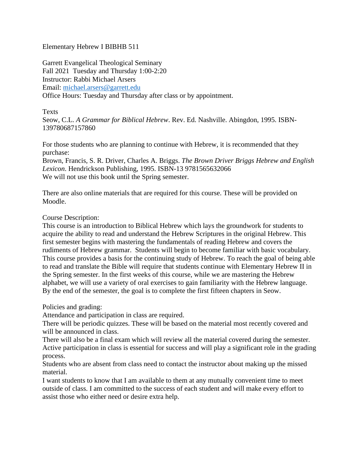## Elementary Hebrew I BIBHB 511

Garrett Evangelical Theological Seminary Fall 2021 Tuesday and Thursday 1:00-2:20 Instructor: Rabbi Michael Arsers Email: michael.arsers@garrett.edu Office Hours: Tuesday and Thursday after class or by appointment.

## Texts

Seow, C.L. *A Grammar for Biblical Hebrew*. Rev. Ed. Nashville. Abingdon, 1995. ISBN-139780687157860

For those students who are planning to continue with Hebrew, it is recommended that they purchase:

Brown, Francis, S. R. Driver, Charles A. Briggs. *The Brown Driver Briggs Hebrew and English Lexicon*. Hendrickson Publishing, 1995. ISBN-13 9781565632066 We will not use this book until the Spring semester.

There are also online materials that are required for this course. These will be provided on Moodle.

## Course Description:

This course is an introduction to Biblical Hebrew which lays the groundwork for students to acquire the ability to read and understand the Hebrew Scriptures in the original Hebrew. This first semester begins with mastering the fundamentals of reading Hebrew and covers the rudiments of Hebrew grammar. Students will begin to become familiar with basic vocabulary. This course provides a basis for the continuing study of Hebrew. To reach the goal of being able to read and translate the Bible will require that students continue with Elementary Hebrew II in the Spring semester. In the first weeks of this course, while we are mastering the Hebrew alphabet, we will use a variety of oral exercises to gain familiarity with the Hebrew language. By the end of the semester, the goal is to complete the first fifteen chapters in Seow.

Policies and grading:

Attendance and participation in class are required.

There will be periodic quizzes. These will be based on the material most recently covered and will be announced in class.

There will also be a final exam which will review all the material covered during the semester. Active participation in class is essential for success and will play a significant role in the grading process.

Students who are absent from class need to contact the instructor about making up the missed material.

I want students to know that I am available to them at any mutually convenient time to meet outside of class. I am committed to the success of each student and will make every effort to assist those who either need or desire extra help.